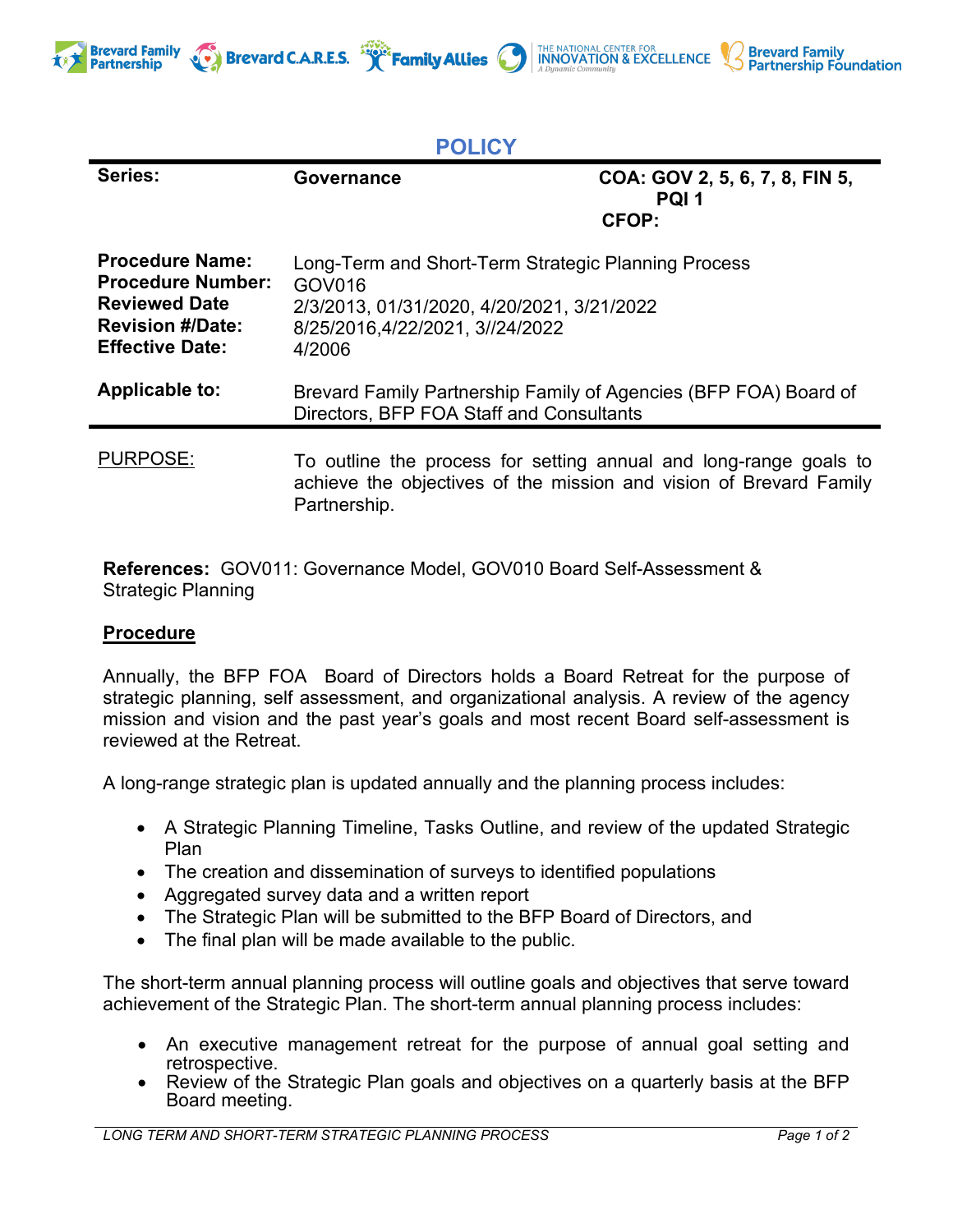

## **POLICY**

| Series:                                                                                                                         | Governance                                                                                                                                               | COA: GOV 2, 5, 6, 7, 8, FIN 5,<br>PQI <sub>1</sub><br><b>CFOP:</b> |
|---------------------------------------------------------------------------------------------------------------------------------|----------------------------------------------------------------------------------------------------------------------------------------------------------|--------------------------------------------------------------------|
| <b>Procedure Name:</b><br><b>Procedure Number:</b><br><b>Reviewed Date</b><br><b>Revision #/Date:</b><br><b>Effective Date:</b> | Long-Term and Short-Term Strategic Planning Process<br>GOV016<br>2/3/2013, 01/31/2020, 4/20/2021, 3/21/2022<br>8/25/2016.4/22/2021. 3//24/2022<br>4/2006 |                                                                    |
| Applicable to:                                                                                                                  | Brevard Family Partnership Family of Agencies (BFP FOA) Board of<br>Directors, BFP FOA Staff and Consultants                                             |                                                                    |
| <b>PURPOSE:</b>                                                                                                                 | To outline the process for setting annual and long-range goals to<br>achieve the objectives of the mission and vision of Brevard Family<br>Partnership.  |                                                                    |

**References:** GOV011: Governance Model, GOV010 Board Self-Assessment & Strategic Planning

## **Procedure**

**Brevard Family** 

**Partnership** 

Annually, the BFP FOA Board of Directors holds a Board Retreat for the purpose of strategic planning, self assessment, and organizational analysis. A review of the agency mission and vision and the past year's goals and most recent Board self-assessment is reviewed at the Retreat.

A long-range strategic plan is updated annually and the planning process includes:

- A Strategic Planning Timeline, Tasks Outline, and review of the updated Strategic Plan
- The creation and dissemination of surveys to identified populations
- Aggregated survey data and a written report
- The Strategic Plan will be submitted to the BFP Board of Directors, and
- The final plan will be made available to the public.

The short-term annual planning process will outline goals and objectives that serve toward achievement of the Strategic Plan. The short-term annual planning process includes:

- An executive management retreat for the purpose of annual goal setting and retrospective. • Review of the Strategic Plan goals and objectives on a quarterly basis at the BFP
- Board meeting.